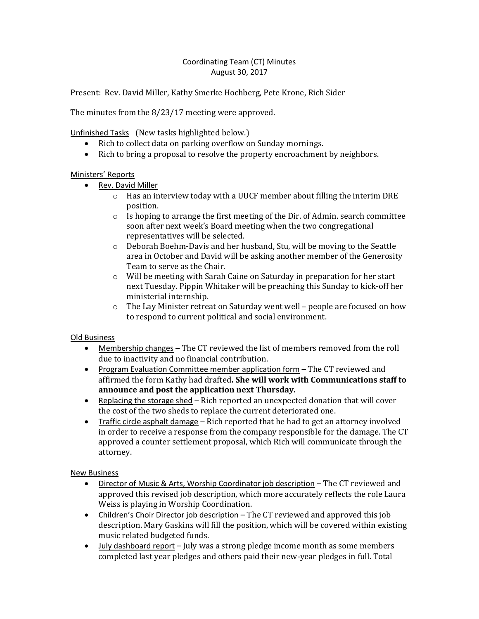## Coordinating Team (CT) Minutes August 30, 2017

Present: Rev. David Miller, Kathy Smerke Hochberg, Pete Krone, Rich Sider

The minutes from the 8/23/17 meeting were approved.

Unfinished Tasks (New tasks highlighted below.)

- Rich to collect data on parking overflow on Sunday mornings.
- Rich to bring a proposal to resolve the property encroachment by neighbors.

## Ministers' Reports

- Rev. David Miller
	- $\circ$  Has an interview today with a UUCF member about filling the interim DRE position.
	- o Is hoping to arrange the first meeting of the Dir. of Admin. search committee soon after next week's Board meeting when the two congregational representatives will be selected.
	- o Deborah Boehm-Davis and her husband, Stu, will be moving to the Seattle area in October and David will be asking another member of the Generosity Team to serve as the Chair.
	- o Will be meeting with Sarah Caine on Saturday in preparation for her start next Tuesday. Pippin Whitaker will be preaching this Sunday to kick-off her ministerial internship.
	- o The Lay Minister retreat on Saturday went well people are focused on how to respond to current political and social environment.

## Old Business

- Membership changes The CT reviewed the list of members removed from the roll due to inactivity and no financial contribution.
- Program Evaluation Committee member application form The CT reviewed and affirmed the form Kathy had drafted**. She will work with Communications staff to announce and post the application next Thursday.**
- **•** Replacing the storage shed  $-$  Rich reported an unexpected donation that will cover the cost of the two sheds to replace the current deteriorated one.
- Traffic circle asphalt damage Rich reported that he had to get an attorney involved in order to receive a response from the company responsible for the damage. The CT approved a counter settlement proposal, which Rich will communicate through the attorney.

New Business

- Director of Music & Arts, Worship Coordinator job description The CT reviewed and approved this revised job description, which more accurately reflects the role Laura Weiss is playing in Worship Coordination.
- Children's Choir Director job description The CT reviewed and approved this job description. Mary Gaskins will fill the position, which will be covered within existing music related budgeted funds.
- July dashboard report July was a strong pledge income month as some members completed last year pledges and others paid their new-year pledges in full. Total